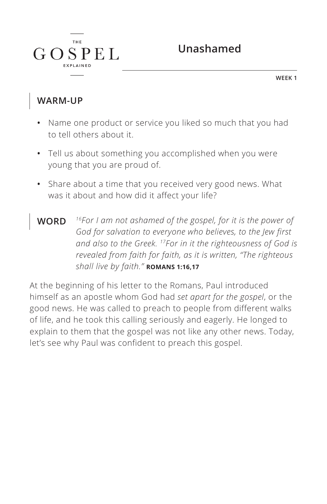

**WEEK 1**

#### **WARM-UP**

 $G$ 

**THE** 

 $SPEL$ 

- **•** Name one product or service you liked so much that you had to tell others about it.
- **•** Tell us about something you accomplished when you were young that you are proud of.
- **•** Share about a time that you received very good news. What was it about and how did it affect your life?
- **WORD** *16For I am not ashamed of the gospel, for it is the power of God for salvation to everyone who believes, to the Jew first and also to the Greek. 17For in it the righteousness of God is revealed from faith for faith, as it is written, "The righteous shall live by faith." ^***ROMANS 1:16,17**

At the beginning of his letter to the Romans, Paul introduced himself as an apostle whom God had *set apart for the gospel*, or the good news. He was called to preach to people from different walks of life, and he took this calling seriously and eagerly. He longed to explain to them that the gospel was not like any other news. Today, let's see why Paul was confident to preach this gospel.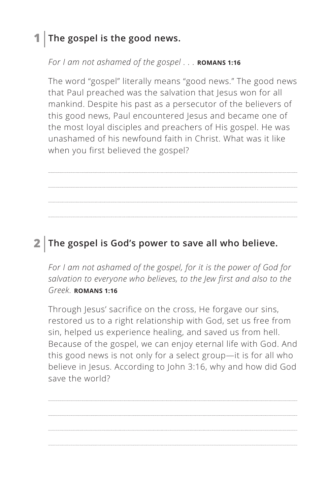# **1 The gospel is the good news.**

*For I am not ashamed of the gospel . . .* **ROMANS 1:16** 

The word "gospel" literally means "good news." The good news that Paul preached was the salvation that Jesus won for all mankind. Despite his past as a persecutor of the believers of this good news, Paul encountered Jesus and became one of the most loyal disciples and preachers of His gospel. He was unashamed of his newfound faith in Christ. What was it like when you first believed the gospel?

# **2 The gospel is God's power to save all who believe.**

*For I am not ashamed of the gospel, for it is the power of God for salvation to everyone who believes, to the Jew first and also to the Greek. ^***ROMANS 1:16**

Through Jesus' sacrifice on the cross, He forgave our sins, restored us to a right relationship with God, set us free from sin, helped us experience healing, and saved us from hell. Because of the gospel, we can enjoy eternal life with God. And this good news is not only for a select group—it is for all who believe in Jesus. According to John 3:16, why and how did God save the world?

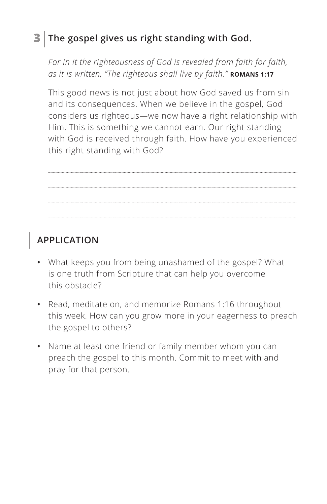### **3 The gospel gives us right standing with God.**

*For in it the righteousness of God is revealed from faith for faith, as it is written, "The righteous shall live by faith."* **ROMANS 1:17** 

This good news is not just about how God saved us from sin and its consequences. When we believe in the gospel, God considers us righteous—we now have a right relationship with Him. This is something we cannot earn. Our right standing with God is received through faith. How have you experienced this right standing with God?

# **APPLICATION**

- **•** What keeps you from being unashamed of the gospel? What is one truth from Scripture that can help you overcome this obstacle?
- **•** Read, meditate on, and memorize Romans 1:16 throughout this week. How can you grow more in your eagerness to preach the gospel to others?
- **•** Name at least one friend or family member whom you can preach the gospel to this month. Commit to meet with and pray for that person.